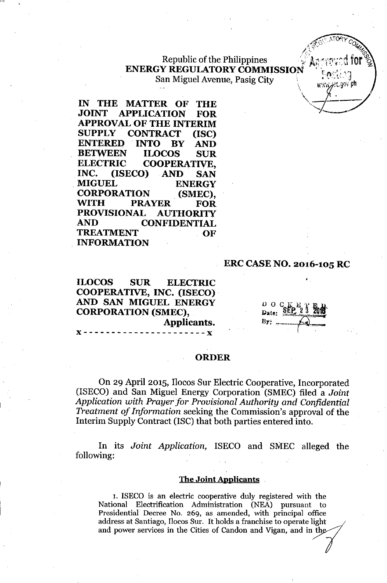**Republic of the Philippines ENERGY REGULATORY COMMISSION** San Miguel Avenue, Pasig City

**IN THE MATTER OF THE JOINT APPLICATION FOR APPROVAL OF THE INTERIM SUPPLY CONTRACT (ISC) ENTERED .INTO BY AND BETWEEN ILOCOS SUR ELECTRIC COOPERATIVE, INC. (ISECO) AND SAN MIGUEL ENERGY CORPORATION (SMEC), WITH PRAYER FOR PROVISIONAL AUTHORITY AND CONFIDENTIAL TREATMENT OF . INFORMATION**

### **ERC CASE NO. 2016-105 RC**

arc.gov ph

**ILOCOS SUR ELECTRIC COOPERATIVE, INC. (ISECO). AND SAN MIGUEL ENERGY CORPORATION (SMEC), Applicants.**

**x----------------------x**

 $D$  O C  $E$ <br>Date:  $SE$ By:

#### **ORDER**

On 29 April 2015, Ilocos Sur Electric Cooperative, Incorporated (ISECO) and San Miguel Energy Corporation (SMEC) filed a *Joint Application with Prayer for Provisional Authority and Confidential Treatment of Information* seeking the Commission's approval of the Interim Supply Contract (ISC) that both parties entered into.

**In** its *Joint Application,* ISECO and SMEC alleged the following:

#### **The Joint Applicants**

1. ISECO is an electric cooperative duly registered with the National Electrification Administration (NEA) pursuant to National Electrification Administration (NEA) pursuant to<br>Presidential Decree No. 269, as amended, with principal office<br>address at Santiago, Ilocos Sur. It holds a franchise to operate light<br>and power services in the Citi address at Santiago, Ilocos Sur. It holds a franchise to operate light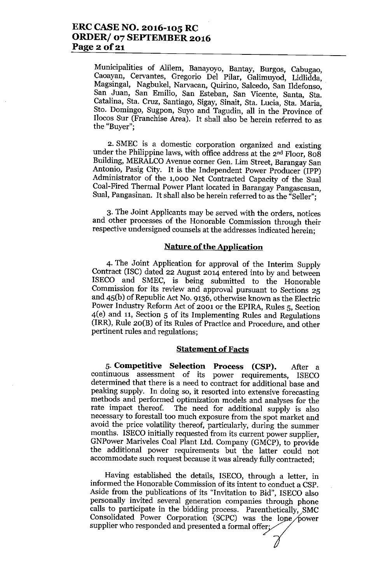Municipalities of Alilem, Banayoyo, Bantay, Burgos, Cabugao, Caoayan, Cervantes, Gregorio Del Pilar, Galimuyod, Lidlidda, Magsingal, Nagbukel, Narvacan, Quirino, Salcedo, San Ildefonso, San Juan, San Emilio, San Esteban, San Vicente, Santa, Sta. Catalina, Sta. Cruz, Santiago, Sigay, Sinait, Sta. Lucia, Sta. Maria, Sto. Domingo, Sugpon, Suyo and Tagudin, all in the Province of Ilocos Sur (Franchise Area). It shall also be herein referred to as the "Buyer";

2. SMEC is a domestic corporation organized and existing under the Philippine laws, with office address at the 2nd Floor, 808 Building, MERALCO Avenue corner Gen. Lim Street, Barangay San Antonio, Pasig City. It is the Independent Power Producer (IPP) Administrator of the 1,000 Net Contracted Capacity of the Sual Coal-Fired Thermal Power Plant located in Barangay Pangascasan, Sual, Pangasinan. It shall also be herein referred to as the "Seller";

3. The Joint Applicants may be served with the orders, notices and other processes of the Honorable Commission through their respective undersigned counsels at the addresses indicated herein;

#### **Nature** of the **Application**

4. The Joint Application for approval of the Interim Supply Contract (ISC) dated 22 August 2014 entered into by and between ISECO and SMEC, is being submitted to the Honorable Commission for its review and approval pursuant to Sections 25 and 45(b) of Republic Act No. 9136, otherwise known as the Electric Power Industry Reform Act of 2001 or the EPIRA, Rules 5, Section 4(e) and 11, Section 5 of its Implementing Rules and Regulations (IRR), Rule 20(B) of its Rules of Practice and Procedure, and other pertinent rules and regulations;

#### **Statement of Facts**

5. **Competitive Selection Process (CSP).** After a continuous assessment of its power requirements, ISECO determined that there is a need to contract for additional base and peaking supply. In doing so, it resorted into extensive forecasting methods and performed optimization models and analyses for the rate impact thereof. The need for additional supply is also The need for additional supply is also necessary to forestall too much exposure from the spot market and avoid the price volatility thereof, particularly, during the summer months. ISECO initially requested from its current power supplier, GNPower Mariveles Coal Plant Ltd. Company (GMCP), to provide the additional power requirements but the latter could not accommodate such request because it was already fully contracted;

Having established the details, ISECO, through a letter, in informed the Honorable Commission of its intent to conduct a CSP. Aside from the publications of its "Invitation to Bid", ISECO also personally invited several generation companies through phone calls to participate in the bidding process. Parenthetically, SMC  $\begin{array}{l} \text{Consolidated} \end{array}$  Power  $\begin{array}{l} \text{Corporation} \end{array}$  (SCPC) was the lone  $\begin{array}{l} \text{Supplier who responded and presented a formal offer;} \end{array}$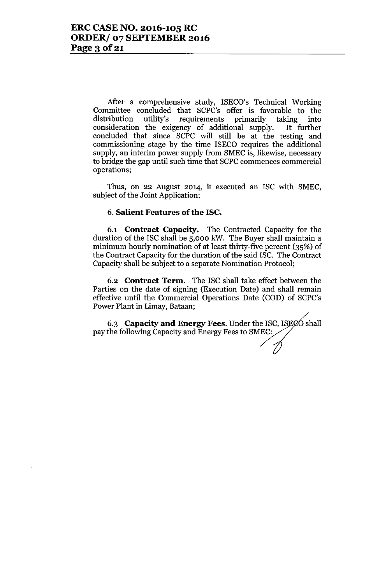After a comprehensive study, ISECO's Technical Working Committee concluded that SCPC's offer is favorable to the distribution utility's requirements primarily taking into distribution utility's requirements primarily taking into consideration the exigency of additional supply. It further concluded that since SCPC will still be at the testing and commissioning stage by the time ISECO requires the additional supply, an interim power supply from SMEC is, likewise, necessary to bridge the gap until such time that SCPC commences commercial operations;

Thus, on 22 August 2014, it executed an ISC with SMEC, subject of the Joint Application;

### 6.**Salient Features** of the **ISC.**

6.1 **Contract Capacity.** The Contracted Capacity for the duration of the ISC shall be 5,000 kW. The Buyer shall maintain a minimum hourly nomination of at least thirty-five percent (35%) of the Contract Capacity for the duration of the said ISC. The Contract Capacity shall be subject to a separate Nomination Protocol;

6.2 **Contract Term.** The ISC shall take effect between the Parties on the date of signing (Execution Date) and shall remain effective until the Commercial Operations Date (COD) of SCPC's Power Plant in Limay, Bataan;

6.3 **Capacity and Energy Fees**. Under the ISC, ISECO shall pay the following Capacity and Energy Fees to SMEC: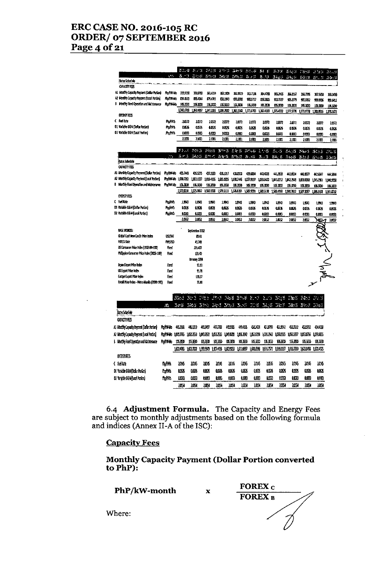# **ERC CASE NO. 2016-105 RC ORDER/ 07 SEPTEMBER 2016** Page 4 of 21

|                                                                                        |                  | $\Sigma \otimes \Pi$  |                            |                 |              |               |               |                                  | Wird Blas Brown West Still Britt | $1 - 14$              |              | 若和が (1854)   | 活性体 防火业               |             |
|----------------------------------------------------------------------------------------|------------------|-----------------------|----------------------------|-----------------|--------------|---------------|---------------|----------------------------------|----------------------------------|-----------------------|--------------|--------------|-----------------------|-------------|
|                                                                                        | $\cdot$ ,        | 8.                    |                            |                 |              |               |               | SENI BEST SON SEN L. B.J.        | $5 - 1$                          | 31 C                  | 11:54        | 150 t R      | 31.00                 | 30-11       |
| <b>Rates Scheckle</b><br><b>OUNITIES</b>                                               |                  |                       |                            |                 |              |               |               |                                  |                                  |                       |              |              |                       |             |
|                                                                                        |                  |                       |                            |                 |              |               |               |                                  |                                  |                       |              |              |                       |             |
| Al Month Capacia Payment (Ochar Portion)<br>A2 Monthy Capacity Paysers (Local Portion) | <b>Fight Mo</b>  | 359,9258              | 150.570                    |                 | 351.034      | 352,1939      | 162.5510      | 35L71¥                           | 354.4723                         | 85.245                | 张邱户          | XK72%        | 157,5650              | 333G)       |
| B Northy Reed Operation and Maintenance                                                | <b>Antarica</b>  | 8340520               | <b>BSGH</b>                |                 | \$79.6701    | 88.1933       | 293,5003      | 900.9737                         | 13553                            | 903.7727              | 905.1779     | 900.8352     | 908.00%               | 93501       |
|                                                                                        | Hali Hik         | 1063330               | 1063530                    |                 | 106.000      | 106.3830      | 1053130       | 10.330                           | 1053830                          | 106,3330              | 106.3330     | 106,3230     | 106.3030              | 105.3230    |
| entegy fels                                                                            |                  | 130.003               | 1,52057                    |                 | 130.235      | 135.752       | 1.63.1343     | 1371008                          | 1317.603                         | 1,115.012             | 1,377.5776   | 1,71977      | 130.516               | 13713672    |
| C Fuel Lize                                                                            | Rocks            | .2872                 |                            |                 |              |               |               |                                  |                                  |                       |              |              |                       |             |
| 01 Vatable 08.4 Dollar Portion                                                         |                  |                       |                            | 10.R            | 1.37         | 2.B72         | 10J)          | 1.037                            | 20372                            | 1871                  | 1677         | 24372        | 1.6172                | 1.077       |
| 02 Variable 04th Rocal Portion                                                         | <b>Horks</b>     | <b>LBX</b>            |                            | 0.6%            | 4.626        | <b>MRS</b>    | 00 X          | 60525                            | <b>LISS</b>                      | 6.05%                 | 605%         | 0.0526       | 0.625                 | um:         |
|                                                                                        | <b>Access</b>    | 0.0033                |                            | 0.003           | 0.COM        | <b>ABEL</b>   | 0.083         | 0.003                            | <b>LOTE</b>                      | <b>LCCC</b>           | t me         | 0.0033       | 0.033                 | <b>MART</b> |
|                                                                                        |                  | 2,100                 |                            | 2103            | 2,1081       | 21001         | 2.1331        | 2100                             | 1103                             | 2.103                 | 21031        | 21031        | 2101                  | 11081       |
|                                                                                        |                  | 20.00                 |                            |                 |              |               |               |                                  |                                  |                       |              |              |                       |             |
|                                                                                        |                  |                       | $25.5 - 3$                 |                 | 2515,55      |               | N 75 E 5 E    | $5 - 15$                         | 2, 158                           | 51.5                  | $15 - 7.5$   | $1 - 11 - 5$ | 16.11                 | 13 St. 15   |
| <b>Rates Scheerle</b>                                                                  | ta.              | h. - 3                | 24.5.3                     | 五十 六            |              | $25 - 0.35$   | $23 - 2 - 15$ | A 15                             | $\Delta \perp \Delta$            | 23A, 15               | $1 - 2 - 15$ | 25.2.1.15    | 25 to 15              | 3323        |
| <b>CUPACTY FEES</b>                                                                    |                  |                       |                            |                 |              |               |               |                                  |                                  |                       |              |              |                       |             |
| A1 Monthly Capacity Payment (Dollar Portion)                                           |                  | Hony Ho (11746)       | <b>USS275</b>              |                 | 47.3133      | 4311017       | 61.573        | 43.554                           | 40.621                           | <b>ULATS</b>          | 41.034       | 40.877       | 40.007                | 64.500      |
| A2 Marathy Capacity Payment (Local Portion)                                            |                  | Provincia: 1,030.7261 | 1,81157                    | 1,016-1965      |              | 105.025       | 1,030,74%     | 1,037,9197                       | 1.031.6431                       | 1,040,0312 1,042,2548 |              | 1.88060      | 1,045.2361 1,040.9558 |             |
| B Martiny Fixed Operation and Malacerance                                              |                  | ProWW4b 106.330       | 1063330                    |                 | 106.3330     | 15.330        | 106.3230      | 106.3830                         | 106.3230                         | 105.333               | 105.3230     | 106.3830     | 106.3330              | 106,3030    |
|                                                                                        |                  | 1,572.B34             | 1,575.0652                 | 1,560.1058      |              | 1,573,5133    | 1,576.033     | 1,503,531                        | 15015130                         | 150.00                | 1,590.7612   | 1,537,3057   | 1,963133              | 15919732    |
| <b>ENERGY FEES</b>                                                                     |                  |                       |                            |                 |              |               |               |                                  |                                  |                       |              |              |                       |             |
| C kditrz                                                                               | <b>Hon Wa</b>    | 1393                  | 1363                       |                 | 1.993        | 1.993         | 1540          | 1,390                            | 1993                             | 1,943                 | 1.9913       | 1943         | 1.98                  | 1399        |
| D1 Variable O&M (Dollar Portion)                                                       | <b>April</b>     | MK                    | 00576                      |                 | 44525        | us:           | 0.0626        | 0.XX                             | <b>00%</b>                       | 0.0526                | <b>DIEX</b>  | 4058         | 0.1626                | 1.0525      |
| D2 Vaticle OSM (Local Perfect)                                                         | <b>Hp/Ma</b>     | HU3.                  | 0.0033                     |                 | 0.003        | <b>0.00S3</b> | 0.003         | 0.003                            | 0.003                            | 0.000                 | 0.0033       | 0.0033       | <b>LOCU</b>           | 0.DOG       |
|                                                                                        |                  | 2059                  | 189                        |                 | 2.69         | 2.052         | 1051          | 10652                            | 2052                             | 189                   | 2.052        | 2052         | ⋙                     | 2.052       |
|                                                                                        |                  |                       |                            |                 |              |               |               |                                  |                                  |                       |              |              |                       |             |
| <b>BASE PROCES:</b>                                                                    |                  |                       | Serienber 2012             |                 |              |               |               |                                  |                                  |                       |              |              |                       |             |
| Gdal Cal her Cisce Mice Index                                                          | USD/MT           |                       |                            | 80              |              |               |               |                                  |                                  |                       |              |              |                       |             |
| <b>FOREX FATE</b>                                                                      | AP/USD           |                       | 41.749                     |                 |              |               |               |                                  |                                  |                       |              |              |                       |             |
| US Consumer Price Index (1532-84=100)                                                  | fied             |                       | 81.AH                      |                 |              |               |               |                                  |                                  |                       |              |              |                       |             |
| Philippine Conserner Price Index (2006=100)                                            | Hoad             |                       | 111.0                      |                 |              |               |               |                                  |                                  |                       |              |              |                       |             |
|                                                                                        |                  |                       | kman 1991                  |                 |              |               |               |                                  |                                  |                       |              |              |                       |             |
| Japan Lipot Moe Inden                                                                  | <b>Hed</b>       |                       |                            | 9.B             |              |               |               |                                  |                                  |                       |              |              |                       |             |
| US Export Poice Incen                                                                  | <b>Revo</b>      |                       |                            | 91.70           |              |               |               |                                  |                                  |                       |              |              |                       |             |
| Europe Eupon Price Index                                                               | Red              |                       |                            | 12.57           |              |               |               |                                  |                                  |                       |              |              |                       |             |
| Retall Price Index - Metro Manula (2000-100)                                           | Had              |                       |                            | 75.99           |              |               |               |                                  |                                  |                       |              |              |                       |             |
|                                                                                        |                  |                       |                            |                 |              |               |               |                                  |                                  |                       |              |              |                       |             |
|                                                                                        |                  |                       |                            |                 |              |               |               |                                  |                                  |                       |              |              |                       |             |
|                                                                                        |                  | <b>Basi</b>           | $\mathcal{L}^{\text{max}}$ | 三弦法             |              |               |               | 计位 补偿 缺乏 热性                      | 2.5                              |                       | Bash Ekel    |              | GCS SOS               |             |
|                                                                                        | лš               | 321                   | $H^2$ .                    | $\mathcal{Y}$ . | $5 - 71$     |               | 3 R 3 3 3     | $\mathbb{R}^n \times \mathbb{R}$ | $\Delta\kappa$ , $\Delta$        | $5x$ .                | $-9.5$       | 春じき          | 30.3                  |             |
| ikres Schedene                                                                         |                  |                       |                            |                 |              |               |               |                                  |                                  |                       |              |              |                       |             |
| <b>CUALITY FLIS</b>                                                                    |                  |                       |                            |                 |              |               |               |                                  |                                  |                       |              |              |                       |             |
|                                                                                        |                  |                       |                            |                 |              |               |               |                                  |                                  |                       |              |              |                       |             |
| A) Maddy Capacig Parrest Dallar Patient                                                | <b>RotWith</b>   | 453H                  | 46.1319                    | 45.587          | 40.TAB       | 4393          |               | 45.115<br>59.GI                  | <b>61099</b>                     | <b>619K</b>           | -523512      | -63.912      | 保田                    |             |
| A2 Marthy Capacity Premiert (Local Partier)                                            | Rominalo 1891765 |                       | 1050253                    | 109.522         | <b>IDIYE</b> | <b>LIGHTS</b> | <b>TRESHI</b> | 1.052.024                        | LGSZAZ                           | <b>LOUIS</b>          | 105557       |              | 1091756 10919955      |             |
| B Morthly Fixed Operation and Mathemasce                                               | <b>Ronaldo</b>   | 106330                | 105390                     | YK KKO          | 105333       | 1063BX        |               | 1053230                          | 106.300<br>10,333                | 115330                | 15,330       | 105333       | 105.030               |             |
|                                                                                        |                  | 1.000.003             |                            | 1991949         |              |               | 1.012057      | 1,608.0593                       | 1,616.7571                       | 1.01137               | 1.1575)      | 103193       | 1,521,032             |             |
|                                                                                        |                  |                       | 100.731                    |                 | 107.AX       | 1,53553       |               |                                  |                                  |                       |              |              |                       |             |
| <b>BLEAST RES</b>                                                                      |                  |                       |                            |                 |              |               |               |                                  |                                  |                       |              |              |                       |             |
| (feltre                                                                                | 脂體               | 2016                  | 1045                       | 206             | 1016         |               | 2014          | 2016                             | 1045<br>1016                     | 2016                  | 2015         | 2013         | 10,6                  |             |
| 01 Youth 08M (Odbr Patient                                                             | 肋間               | LC 3                  | 0.035                      | <b>ODEX</b>     | 1023         |               | ons           | <b>MTS</b>                       | œ<br>ŁŒ                          | ١Œ٢                   | ω×           | 1KX          | <b>IOSE</b>           |             |
|                                                                                        |                  |                       |                            |                 |              |               |               |                                  |                                  |                       |              |              |                       |             |
| 02 Valde 084 (tool Pafor)                                                              | 點腦               | um                    | ùШ                         | tuo             | LDC.         |               | 00CB          | <b>WAR</b>                       | <b>LITE</b><br>û.CR3             | w                     | 0.003        | <b>LITE</b>  | LOB                   |             |
|                                                                                        |                  | <b>HASK</b>           | zж                         | <b>1054</b>     | 1054         |               | <b>ILSM</b>   | <b>2534</b>                      | 2031<br><b>IBS</b>               | lМ                    | ìМ           | 2031         | 1451                  |             |

6.4 **Adjustment Formula.** The Capacity and Energy Fees are subject to monthly adjustments based on the following formula and indices (Annex II-A of the ISC):

### **Capacity Fees**

**Monthly Capacity Payment (Dollar Portion converted** to PhP):

**PhP/kW-month**

x

**FOREX**<sub>c</sub> FOREX<sub>B</sub>

Where: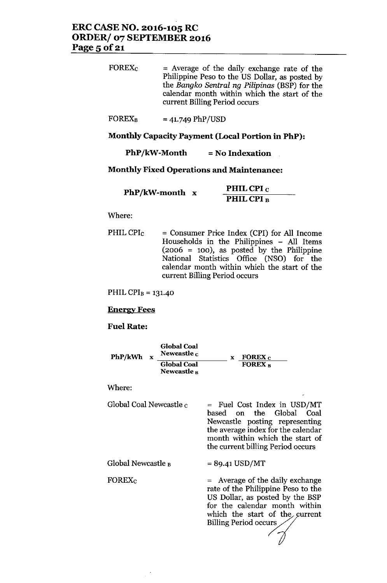## ERC CASE NO. 2016-105 RC ORDER/ 07 SEPTEMBER 2016 Page 5 of 21

| $\rm FOREX_{C}$ | $=$ Average of the daily exchange rate of the<br>Philippine Peso to the US Dollar, as posted by<br>the Bangko Sentral ng Pilipinas (BSP) for the |
|-----------------|--------------------------------------------------------------------------------------------------------------------------------------------------|
|                 | calendar month within which the start of the                                                                                                     |
|                 | current Billing Period occurs                                                                                                                    |

FOREX<sub>B</sub> = 41.749 PhP/USD

### Monthly Capacity Payment (Local Portion in PhP):

 $PhP/kW-Month$  = No Indexation

### Monthly Fixed Operations and Maintenance:

| $PhP/kW$ -month x | PHIL CPI $_{\rm C}$   |
|-------------------|-----------------------|
|                   | PHIL CPI <sub>B</sub> |

#### Where:

PHIL CPI $c =$  Consumer Price Index (CPI) for All Income Households in the Philippines - All Items  $(2006 = 100)$ , as posted by the Philippine National Statistics Office (NSO) for the calendar month within which the start of the current Billing Period occurs

PHIL CPI $_B$  = 131.40

#### Energy Fees

### Fuel Rate:

| PhP/kWh | <b>Global Coal</b><br>Newcastle $c$          | FOREX $c$                 |  |
|---------|----------------------------------------------|---------------------------|--|
|         | <b>Global Coal</b><br>Newcastle <sub>B</sub> | <b>FOREX</b> <sub>R</sub> |  |

Where:

| Global Coal Newcastle <sub>C</sub> | $=$ Fuel Cost Index in USD/MT      |
|------------------------------------|------------------------------------|
|                                    | based on the Global Coal           |
|                                    | Newcastle posting representing     |
|                                    | the average index for the calendar |
|                                    | month within which the start of    |
|                                    | the current billing Period occurs  |

= 89-41 USD/MT

Global Newcastle  $_B$ 

FOREXc

= Average of the daily exchange rate of the Philippine Peso to the US Dollar, as posted by the BSP for the calendar month within which the start of the  $\epsilon$ rate of the Philippine Per<br>US Dollar, as posted by<br>for the calendar montl<br>which the start of the<br>Billing Period occurs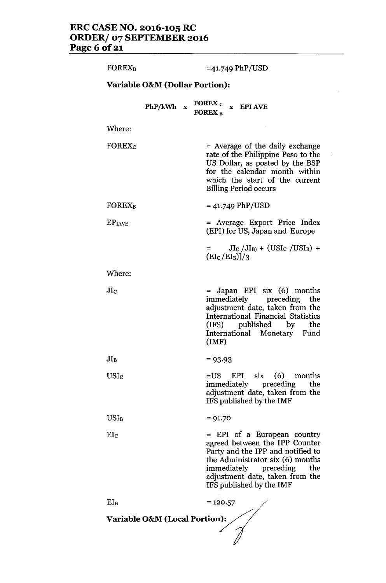| <b>FOREX<sub>B</sub></b> |                                           | $=41.749$ PhP/USD                                                                                                                                                                                                                       |
|--------------------------|-------------------------------------------|-----------------------------------------------------------------------------------------------------------------------------------------------------------------------------------------------------------------------------------------|
|                          | <b>Variable O&amp;M (Dollar Portion):</b> |                                                                                                                                                                                                                                         |
|                          | PhP/kWh x                                 | FOREX c x EPI AVE<br><b>FOREX R</b>                                                                                                                                                                                                     |
| Where:                   |                                           |                                                                                                                                                                                                                                         |
| FOREX <sub>c</sub>       |                                           | $=$ Average of the daily exchange<br>rate of the Philippine Peso to the<br>US Dollar, as posted by the BSP<br>for the calendar month within<br>which the start of the current<br><b>Billing Period occurs</b>                           |
| <b>FOREX<sub>B</sub></b> |                                           | $= 41.749$ PhP/USD                                                                                                                                                                                                                      |
| EP <sub>IAVE</sub>       |                                           | = Average Export Price Index<br>(EPI) for US, Japan and Europe                                                                                                                                                                          |
|                          |                                           | $\mathrm{JI_{C}}$ / $\mathrm{JI_{B}}$ + (USI <sub>C</sub> /USI <sub>B</sub> ) +<br>$=$ $\qquad$<br>$(EI_C/EI_B)]/3$                                                                                                                     |
| Where:                   |                                           |                                                                                                                                                                                                                                         |
| $_{\rm JIc}$             |                                           | = Japan EPI six (6) months<br>immediately preceding the<br>adjustment date, taken from the<br>International Financial Statistics<br>(IFS) published by the<br>International Monetary Fund<br>(IMF)                                      |
| $JI_B$                   |                                           | $= 93.93$                                                                                                                                                                                                                               |
| USIc                     |                                           | $=US$<br>EPI six<br>$(6)$ months<br>immediately preceding<br>the<br>adjustment date, taken from the<br>IFS published by the IMF                                                                                                         |
| $USI_B$                  |                                           | $= 91.70$                                                                                                                                                                                                                               |
| $_{\rm Elc}$             |                                           | $=$ EPI of a European country<br>agreed between the IPP Counter<br>Party and the IPP and notified to<br>the Administrator six (6) months<br>immediately preceding<br>the<br>adjustment date, taken from the<br>IFS published by the IMF |
|                          |                                           |                                                                                                                                                                                                                                         |

 $EI_B$  = 120.57 **Variable O&M** (Local Portion):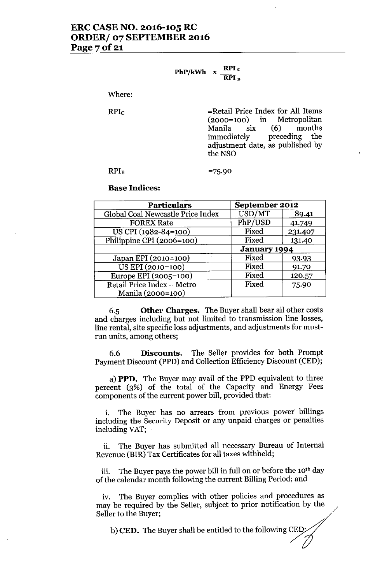$PhP/kWh$  x  $RPI_G$ RPIs

Where:

RPIc

=Retail Price Index for All Items (2000=100) in Metropolitan Manila six (6) months<br>immediately preceding the immediately preceding the adjustment date, as published by the NSO

#### RPh

=75.90

#### Base Indices:

| <b>Particulars</b>                | September 2012      |         |
|-----------------------------------|---------------------|---------|
| Global Coal Newcastle Price Index | USD/MT              | 89.41   |
| <b>FOREX Rate</b>                 | PhP/USD             | 41.749  |
| US CPI (1982-84=100)              | Fixed               | 231.407 |
| Philippine CPI (2006=100)         | Fixed               | 131.40  |
|                                   | <b>January 1994</b> |         |
| Japan EPI (2010=100)              | Fixed               | 93.93   |
| US EPI (2010=100)                 | Fixed               | 91.70   |
| Europe EPI (2005=100)             | Fixed               | 120.57  |
| Retail Price Index - Metro        | Fixed               | 75.90   |
| Manila (2000=100)                 |                     |         |

6.5 Other Charges. The Buyer shall bear all other costs and charges including but not limited to transmission line losses, line rental, site specific loss adjustments, and adjustments for mustrun units, among others;

6.6 Discounts. The Seller provides for both Prompt Payment Discount (PPD) and Collection Efficiency Discount (CED);

a) PPD. The Buyer may avail of the PPD equivalent to three percent (3%) of the total of the Capacity and Energy Fees components of the current power bill, provided that:

i. The Buyer has no arrears from previous power billings including the Security Deposit or any unpaid charges or penalties including VAT;

ii. The Buyer has submitted all necessary Bureau of Internal Revenue (BlR) Tax Certificates for all taxes withheld;

iii. The Buyer pays the power bill in full on or before the 10<sup>th</sup> day of the calendar month following the current Billing Period; and

iv. The Buyer complies with other policies and procedures as may be required by the Seller, subject to prior notification by the Seller to the Buyer;

 $b)$  CED. The Buyer shall be entitled to the following CED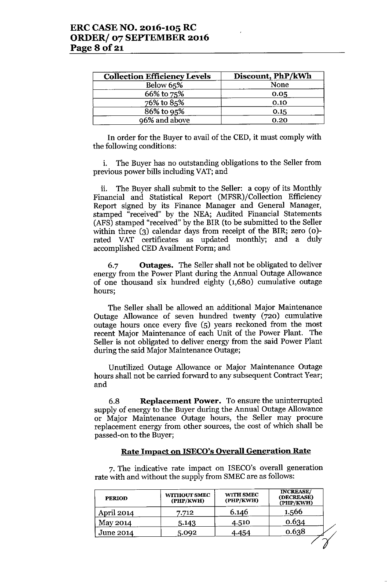| <b>Collection Efficiency Levels</b> | Discount, PhP/kWh |
|-------------------------------------|-------------------|
| Below 65%                           | None              |
| 66% to 75%                          | 0.05              |
| $76\%$ to 85%                       | 0.10              |
| 86% to 95%                          | 0.15              |
| 96% and above                       | 0.20              |

In order for the Buyer to avail of the CED, it must comply with the following conditions:

i. The Buyer has no outstanding obligations to the Seller from previous power bills including VAT; and

ii. The Buyer shall submit to the Seller: a copy of its Monthly Financial and Statistical Report (MFSR)/Collection Efficiency Report signed by its Finance Manager and General Manager, stamped "received" by the NEA; Audited Financial Statements (AFS) stamped "received" by the BIR (to be submitted to the Seller within three (3) calendar days from receipt of the BIR; zero (0)rated VAT certificates as updated monthly; and a duly accomplished CEDAvailment Form; and

6.7 Outages. The Seller shall not be obligated to deliver energy from the Power Plant during the Annual Outage Allowance of one thousand six hundred eighty (1,680) cumulative outage hours;

The Seller shall be allowed an additional Major Maintenance Outage Allowance of seven hundred twenty (720) cumulative outage hours once every five (5) years reckoned from the most recent Major Maintenance of each Unit of the Power Plant. The Seller is not obligated to deliver energy from the said Power Plant during the said Major Maintenance Outage;

Unutilized Outage Allowance or Major Maintenance Outage hours shall not be carried forward to any subsequent Contract Year; and

6.8 Replacement Power. To ensure the uninterrupted supply of energy to the Buyer during the Annual Outage Allowance or Major Maintenance Outage hours, the Seller may procure replacement energy from other sources, the cost of which shall be passed-on to the Buyer;

#### Rate Impact on ISECO's Overall Generation Rate

7. The indicative rate impact on ISECO's overall generation rate with and without the supply from SMEC are as follows:

| <b>PERIOD</b> | <b>WITHOUT SMEC</b><br>(PHP/KWH) | <b>WITH SMEC</b><br>(PHP/KWH) | <b>INCREASE/</b><br>(DECREASE)<br>(PHP/KWH) |
|---------------|----------------------------------|-------------------------------|---------------------------------------------|
| April 2014    | 7.712                            | 6.146                         | 1.566                                       |
| May 2014      | 5.143                            | 4.510                         | 0.634                                       |
| June 2014     | 5.092                            | 4.454                         | 0.638                                       |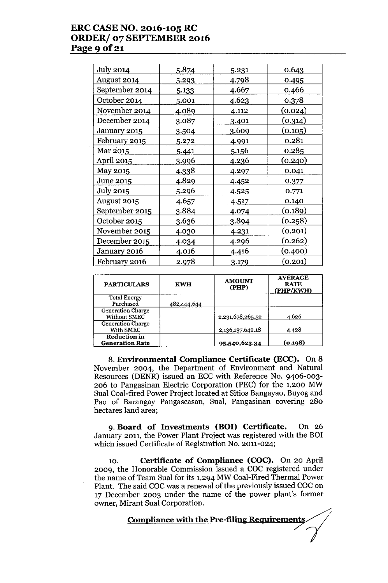## ERC CASE NO. 2016-105 RC ORDER/ 07 SEPTEMBER 2016 Page 9 of 21

| Jul <u>y 2014</u> | <u>5.874</u> | 5.231        | 0.643   |
|-------------------|--------------|--------------|---------|
| August 2014       | 5.293        | <u>4.798</u> | 0.495   |
| September 2014    | <u>5.133</u> | 4.667        | 0.466   |
| October 2014      | 5.001        | 4.623        | 0.378   |
| November 2014     | 4.089        | 4.112        | (0.024) |
| December 2014     | 3.087        | 3.401        | (0.314) |
| January 2015      | 3.504        | 3.609        | (0.105) |
| February 2015     | 5.272        | 4.991        | 0.281   |
| Mar 2015          | 5.441        | 5.156        | 0.285   |
| April 2015        | <u>3.996</u> | <u>4.236</u> | (0.240) |
| May 2015          | <u>4.338</u> | 4.297        | 0.041   |
| June 2015         | 4.829        | 4.452        | 0.377   |
| July 2015         | 5.296        | <u>4.525</u> | 0.771   |
| August 2015       | 4.657        | 4.517        | 0.140   |
| September 2015    | 3.884        | 4.074        | (0.189) |
| October 2015      | 3.636        | <u>3.894</u> | (0.258) |
| November 2015     | 4.030        | 4.231        | (0.201) |
| December 2015     | 4.034        | 4.296        | (0.262) |
| January 2016      | 4.016        | 4.416        | (0.400) |
| February 2016     | 2.978        | 3.179        | (0.201) |

| <b>PARTICULARS</b>                              | <b>KWH</b>  | <b>AMOUNT</b><br>(PHP) | <b>AVERAGE</b><br><b>RATE</b><br>(PHP/KWH) |
|-------------------------------------------------|-------------|------------------------|--------------------------------------------|
| <b>Total Energy</b><br>Purchased                | 482,444,644 |                        |                                            |
| <b>Generation Charge</b><br><b>Without SMEC</b> |             | 2,231,678,265.52       | 4.626                                      |
| <b>Generation Charge</b><br>With SMEC           |             | 2,136,137,642.18       | 4.428                                      |
| <b>Reduction in</b><br><b>Generation Rate</b>   |             | 95,540,623.34          | (0.198)                                    |

8. Environmental Compliance Certificate (ECC). On 8 November 2004, the Department of Environment and Natural Resources (DENR) issued an ECC with Reference No. 9406-003- 206 to Pangasinan Electric Corporation (PEC) for the 1,200 MW Sual Coal-fired Power Project located at Sitios Bangayao, Buyog and Pao of Barangay Pangascasan, Sual, Pangasinan covering 280 hectares land area;

9. Board of Investments (BOI) Certificate. On 26 January 2011, the Power Plant Project was registered with the BOI which issued Certificate of Registration No. 2011-024;

10. Certificate of Compliance (COC). On 20 April 2009, the Honorable Commission issued a COC registered under the name of Team Sual for its 1,294 MW Coal-Fired Thermal Power Plant. The said COC was a renewal of the previously issued COC on 17 December 2003 under the name of the power plant's former owner, Mirant Sual Corporation.

Compliance with the Pre-filing Requirements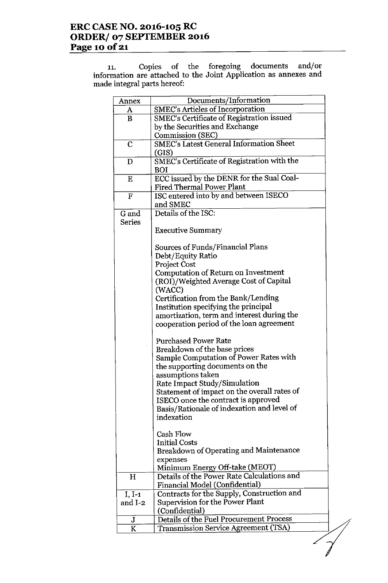# **ERC CASE NO. 2016-105 RC ORDER/ 07 SEPTEMBER 2016** Page 10 of 21

11. Copies of the foregoing documents and/or information are attached to the Joint Application as annexes and momation are attached to<br>made integral parts hereof:

| Annex         | Documents/Information                          |  |
|---------------|------------------------------------------------|--|
| A             | <b>SMEC's Articles of Incorporation</b>        |  |
| $\bf{B}$      | SMEC's Certificate of Registration issued      |  |
|               | by the Securities and Exchange                 |  |
|               | <b>Commission (SEC)</b>                        |  |
| $\mathbf C$   | <b>SMEC's Latest General Information Sheet</b> |  |
|               | (GIS)                                          |  |
| D             | SMEC's Certificate of Registration with the    |  |
|               | BOI                                            |  |
| E             | ECC issued by the DENR for the Sual Coal-      |  |
|               | <b>Fired Thermal Power Plant</b>               |  |
| $\mathbf F$   | ISC entered into by and between ISECO          |  |
|               | and SMEC                                       |  |
| G and         | Details of the ISC:                            |  |
| <b>Series</b> |                                                |  |
|               | <b>Executive Summary</b>                       |  |
|               |                                                |  |
|               | Sources of Funds/Financial Plans               |  |
|               | Debt/Equity Ratio                              |  |
|               | Project Cost                                   |  |
|               | Computation of Return on Investment            |  |
|               | (ROI)/Weighted Average Cost of Capital         |  |
|               | (WACC)                                         |  |
|               | Certification from the Bank/Lending            |  |
|               | Institution specifying the principal           |  |
|               | amortization, term and interest during the     |  |
|               | cooperation period of the loan agreement       |  |
|               | <b>Purchased Power Rate</b>                    |  |
|               | Breakdown of the base prices                   |  |
|               | Sample Computation of Power Rates with         |  |
|               | the supporting documents on the                |  |
|               | assumptions taken                              |  |
|               | Rate Impact Study/Simulation                   |  |
|               | Statement of impact on the overall rates of    |  |
|               | ISECO once the contract is approved            |  |
|               | Basis/Rationale of indexation and level of     |  |
|               | indexation                                     |  |
|               |                                                |  |
|               | <b>Cash Flow</b>                               |  |
|               | <b>Initial Costs</b>                           |  |
|               | <b>Breakdown of Operating and Maintenance</b>  |  |
|               | expenses                                       |  |
|               | Minimum Energy Off-take (MEOT)                 |  |
| H             | Details of the Power Rate Calculations and     |  |
|               | Financial Model (Confidential)                 |  |
| $I, I-1$      | Contracts for the Supply, Construction and     |  |
| and I-2       | Supervision for the Power Plant                |  |
|               | (Confidential)                                 |  |
| J             | Details of the Fuel Procurement Process        |  |
| K             | Transmission Service Agreement (TSA)           |  |
|               |                                                |  |
|               |                                                |  |
|               |                                                |  |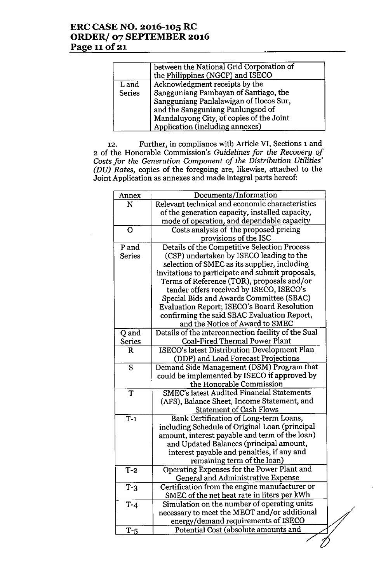# **ERC CASE NO. 2016-105 RC ORDER/ 07 SEPTEMBER 2016 Page 11**of 21

|               | between the National Grid Corporation of<br>the Philippines (NGCP) and ISECO |
|---------------|------------------------------------------------------------------------------|
| L and         | Acknowledgment receipts by the                                               |
| <b>Series</b> | Sangguniang Pambayan of Santiago, the                                        |
|               | Sangguniang Panlalawigan of Ilocos Sur,                                      |
|               | and the Sangguniang Panlungsod of                                            |
|               | Mandaluyong City, of copies of the Joint                                     |
|               | Application (including annexes)                                              |

12. Further, in compliance with Article VI, Sections 1 and 2 of the Honorable Commission's *Guidelines for the Recovery of Costsfor the Generation Component of the Distribution Utilities' (DU) Rates,* copies of the foregoing are, likewise, attached to the Joint Application as annexes and made integral parts hereof:

| Annex            | Documents/Information                               |  |  |
|------------------|-----------------------------------------------------|--|--|
| N                | Relevant technical and economic characteristics     |  |  |
|                  | of the generation capacity, installed capacity,     |  |  |
|                  | mode of operation, and dependable capacity          |  |  |
| $\mathbf O$      | Costs analysis of the proposed pricing              |  |  |
|                  | provisions of the ISC                               |  |  |
| P and            | Details of the Competitive Selection Process        |  |  |
| <b>Series</b>    | (CSP) undertaken by ISECO leading to the            |  |  |
|                  | selection of SMEC as its supplier, including        |  |  |
|                  | invitations to participate and submit proposals,    |  |  |
|                  | Terms of Reference (TOR), proposals and/or          |  |  |
|                  | tender offers received by ISECO, ISECO's            |  |  |
|                  | Special Bids and Awards Committee (SBAC)            |  |  |
|                  | Evaluation Report; ISECO's Board Resolution         |  |  |
|                  | confirming the said SBAC Evaluation Report,         |  |  |
|                  | and the Notice of Award to SMEC                     |  |  |
| Q and            | Details of the interconnection facility of the Sual |  |  |
| <b>Series</b>    | <b>Coal-Fired Thermal Power Plant</b>               |  |  |
| $\mathbf R$      | <b>ISECO's latest Distribution Development Plan</b> |  |  |
|                  | (DDP) and Load Forecast Projections                 |  |  |
| S                | Demand Side Management (DSM) Program that           |  |  |
|                  | could be implemented by ISECO if approved by        |  |  |
|                  | the Honorable Commission                            |  |  |
| $\overline{T}$   | <b>SMEC's latest Audited Financial Statements</b>   |  |  |
|                  | (AFS), Balance Sheet, Income Statement, and         |  |  |
|                  | <b>Statement of Cash Flows</b>                      |  |  |
| $\overline{T-1}$ | Bank Certification of Long-term Loans,              |  |  |
|                  | including Schedule of Original Loan (principal      |  |  |
|                  | amount, interest payable and term of the loan)      |  |  |
|                  | and Updated Balances (principal amount,             |  |  |
|                  | interest payable and penalties, if any and          |  |  |
|                  | remaining term of the loan)                         |  |  |
| $T-2$            | Operating Expenses for the Power Plant and          |  |  |
|                  | General and Administrative Expense                  |  |  |
| $T-3$            | Certification from the engine manufacturer or       |  |  |
|                  | SMEC of the net heat rate in liters per kWh         |  |  |
| $T-4$            | Simulation on the number of operating units         |  |  |
|                  | necessary to meet the MEOT and/or additional        |  |  |
|                  | energy/demand requirements of ISECO                 |  |  |
| $T-5$            | Potential Cost (absolute amounts and                |  |  |
|                  |                                                     |  |  |
|                  |                                                     |  |  |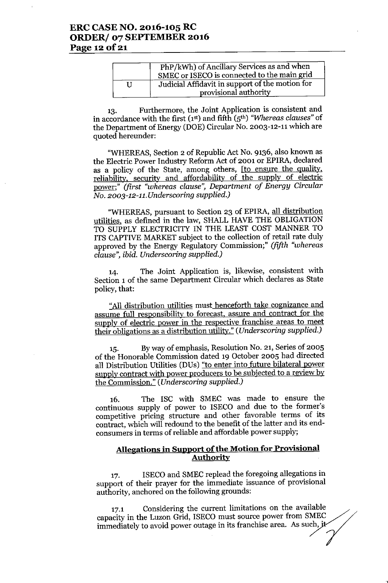## **ERC CASE NO. 2016-105 RC ORDER/ 07 SEPTEMBER 2016 Page 12** of 21

|   | PhP/kWh) of Ancillary Services as and when<br>SMEC or ISECO is connected to the main grid |
|---|-------------------------------------------------------------------------------------------|
| Н | Judicial Affidavit in support of the motion for<br>provisional authority                  |

13. Furthermore, the Joint Application is consistent and in accordance with the first (1st) and fifth (5th) *"Whereas clauses"* of the Department of Energy (DOE) Circular No. 2003-12-11 which are quoted hereunder:

"WHEREAS, Section 2 of Republic Act No. 9136, also known as the Electric Power Industry Reform Act of 2001 or EPIRA, declared as a policy of the State, among others, [to ensure the quality, reliability, security and affordability of the supply of electric power;" *(first "whereas clause", Department of Energy Circular No. 2003-12-11. Underscoring supplied.)*

"WHEREAS, pursuant to Section 23 of EPIRA, all distribution utilities, as defined in the law, SHALL HAVE THE OBLIGATION TO SUPPLY ELECTRICITY IN THE LEAST COST MANNER TO ITS CAPTIVE MARKET subject to the collection of retail rate duly approved by the Energy Regulatory Commission;" *(fifth "whereas clause", ibid. Underscoring supplied.)*

14. The Joint Application is, likewise, consistent with Section 1 of the same Department Circular which declares as State policy, that:

"All distribution utilities must henceforth take cognizance and assume full responsibility to forecast, assure and contract for the supply of electric power in the respective franchise areas to meet their obligations as a distribution utility." *(Underscoring supplied.)*

15. Byway of emphasis, Resolution No. 21, Series of 2005 of the Honorable Commission dated 19 October 2005 had directed all Distribution Utilities (DUs) "to enter into future bilateral power supply contract with power producers to be subjected to a review by the Commission." *(Underscoring supplied.)*

16. The ISC with SMEC was made to ensure the continuous supply of power to ISECO and due to the former's competitive pricing structure and other favorable terms of its contract, which will redound to the benefit of the latter and its endconsumers in terms of reliable and affordable power supply;

### **Allegations in Support** of the **Motion for Provisional Authority**

17. ISECO and SMEC replead the foregoing allegations in support of their prayer for the immediate issuance of provisional authority, anchored on the following grounds:

17.1 Considering the current limitations on the available capacity in the Luzon Grid, ISECO must source power from SMEC 17.1 Considering the current limitations on the available capacity in the Luzon Grid, ISECO must source power from SMEC immediately to avoid power outage in its franchise area. As such, it

,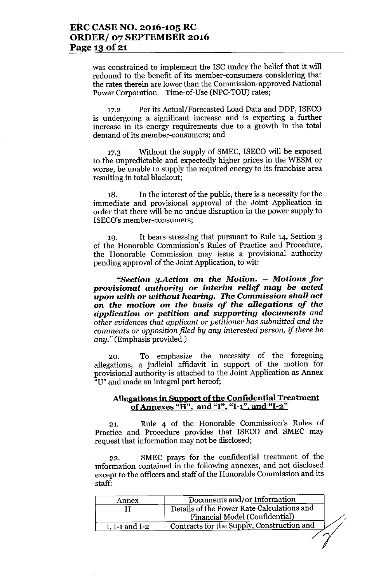was constrained to implement the ISC under the belief that it will redound to the benefit of its member-consumers considering that the rates therein are lower than the Commission-approved National Power Corporation - Time-of-Use (NPC-TOU) rates;

17.2 Per its Actual/Forecasted Load Data and DDP, ISECO is undergoing a significant increase and is expecting a further increase in its energy requirements due to a growth in the total demand of its member-consumers; and

17.3 Without the supply of SMEC, ISECO will be exposed to the unpredictable and expectedly higher prices in the WESM or worse, be unable to supply the required energy to its franchise area resulting in total blackout;

18. In the interest of the public, there is a necessity for the immediate and provisional approval of the Joint Application in order that there will be no undue disruption in the power supply to ISECO's member-consumers;

19. It bears stressing that pursuant to Rule 14, Section 3 of the Honorable Commission's Rules of Practice and Procedure, the Honorable Commission may issue a provisional authority pending approval of the Joint Application, to wit:

*"Section 3.Action* on *the Motion. - Motions for provisional authority* or interim *relief may be* acted *upon with* or *without hearing.* The Commission *shall act* on *the motion* on *the basis of the allegations of the application* or *petition and supporting* documents *and other evidences that applicant* or *petitioner has submitted and the comments* or *opposition filed by any interested person, if there be any."* (Emphasis provided.)

20. To emphasize the necessity of the foregoing allegations, a judicial affidavit in support of the motion for provisional authority is attached to the Joint Application as Annex U" and made an integral part hereof;

### Allegations in Support of the Confidential Treatment of Annexes "H", and "I", "I-1", and "I-2"

21. Rule 4 of the Honorable Commission's Rules of Practice and Procedure provides that ISECO and SMEC may request that information may not be disclosed;

22. SMEC prays for the confidential treatment of the information contained in the following annexes, and not disclosed except to the officers and staff of the Honorable Commission and its staff:

| Annex          | Documents and/or Information               |  |
|----------------|--------------------------------------------|--|
|                | Details of the Power Rate Calculations and |  |
|                | Financial Model (Confidential)             |  |
| I. I-1 and I-2 | Contracts for the Supply, Construction and |  |

 $\langle \rangle$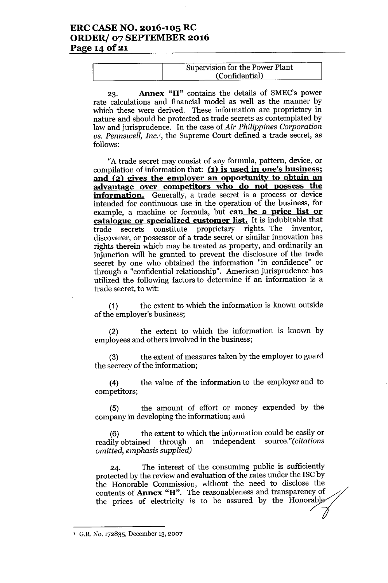## ERC CASE NO. 2016-105 RC ORDER/ 07 SEPTEMBER 2016 Page 14 of 21

| Supervision for the Power Plant |
|---------------------------------|
| (Confidential)                  |

23. Annex "H" contains the details of SMEC's power rate calculations and financial model as well as the manner by which these were derived. These information are proprietary in nature and should be protected as trade secrets as contemplated by law and jurisprudence. In the case of*Air Philippines Corporation vs. Pennswel1, Inc.',* the Supreme Court defined a trade secret, as follows:

"A trade secret may consist of any formula, pattern, device, or compilation of information that:  $(1)$  is used in one's business; and (2) gives the employer an opportunity to obtain an advantage over competitors who do not possess the information. Generally, a trade secret is a process or device intended for continuous use in the operation of the business, for example, a machine or formula, but can be a price list or catalogue or specialized customer list. It is indubitable that trade secrets constitute proprietary rights. The inventor, discoverer, or possessor of a trade secret or similar innovation has rights therein which may be treated as property, and ordinarily an injunction will be granted to prevent the disclosure of the trade secret by one who obtained the information "in confidence" or through a "confidential relationship". American jurisprudence has utilized the following factors to determine if an information is a trade secret, to wit:

(1) the extent to which the information is known outside of the employer's business;

(2) the extent to which the information is known by employees and others involved in the business;

(3) the extent of measures taken by the employer to guard the secrecy of the information;

(4) the value of the information to the employer and to competitors;

(5) the amount of effort or money expended by the company in developing the information; and

(6) the extent to which the information could be easily or readily obtained through an independent source."(citations *omitted, emphasis supplied)*

24. The interest of the consuming public is sufficiently protected by the review and evaluation of the rates under the ISC by the Honorable Commission, without the need to disclose the contents of **Annex "H"**. The reasonableness and transparency of the prices of electricity is to be assured by the Honorable 24. The interest of the consuming public is sufficiently protected by the review and evaluation of the rates under the ISC by the Honorable Commission, without the need to disclose the contents of **Annex "H"**. The reasonab

<sup>&</sup>lt;sup>1</sup> G.R. No. 172835, December 13, 2007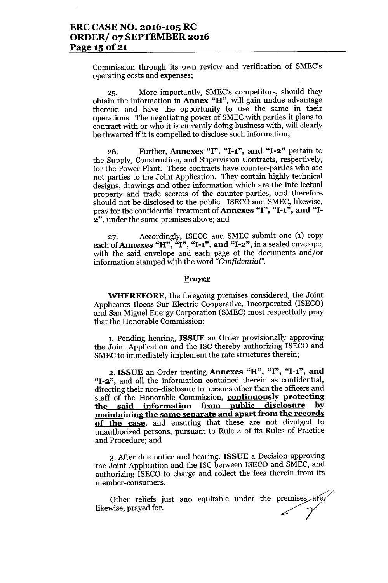Commission through its own review and verification of SMEC's operating costs and expenses;

25. More importantly, SMEC's competitors, should they obtain the information in Annex "H", will gain undue advantage thereon and have the opportunity to use the same in their operations. The negotiating power of SMECwith parties it plans to contract with or who it is currently doing business with, will clearly be thwarted if it is compelled to disclose such information;

26. Further, Annexes "I", "1-1", and "1-2" pertain to the Supply, Construction, and Supervision Contracts, respectively, for the Power Plant. These contracts have counter-parties who are not parties to the Joint Application. They contain highly technical designs, drawings and other information which are the intellectual property and trade secrets of the counter-parties, and therefore should not be disclosed to the public. ISECO and SMEC, likewise, pray for the confidential treatment of Annexes "I", "I-1", and "I-2", under the same premises above; and

27. Accordingly, ISECO and SMEC submit one (1) copy each of Annexes "H", "I", "I-1", and "I-2", in a sealed envelope, with the said envelope and each page of the documents and/or information stamped with the word *"Confidential".*

#### **Prayer**

WHEREFORE, the foregoing premises considered, the Joint Applicants Ilocos Sur Electric Cooperative, Incorporated (ISECO) and San Miguel Energy Corporation (SMEC) most respectfully pray that the Honorable Commission:

1. Pending hearing, ISSUE an Order provisionally approving the Joint Application and the ISC thereby authorizing ISECO and SMEC to immediately implement the rate structures therein;

2. ISSUE an Order treating Annexes "H", "I", "1-1", and "1-2", and all the information contained therein as confidential, directing their non-disclosure to persons other than the officers and staff of the Honorable Commission, **continuously protecting** the said information from public disclosure by maintaining the same separate and apart from the records of the case, and ensuring that these are not divulged to unauthorized persons, pursuant to Rule 4 of its Rules of Practice and Procedure; and

3. After due notice and hearing, ISSUE a Decision approving the Joint Application and the ISC between ISECO and SMEC, and authorizing ISECO to charge and collect the fees therein from its member-consumers.

Other reliefs just and equitable under the premises are likewise, prayed for.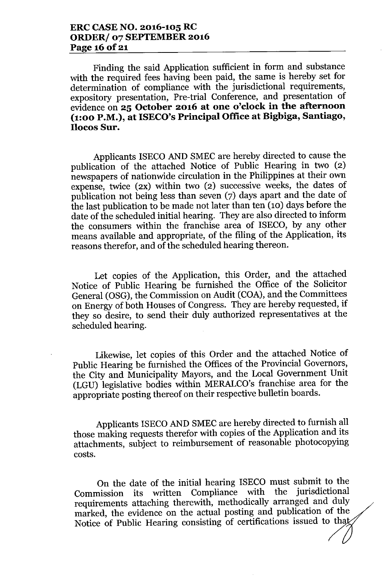Finding the said Application sufficient in form and substance with the required fees having been paid, the same is hereby set for determination of compliance with the jurisdictional requirements, expository presentation, Pre-trial Conference, and presentation of evidence on **25 October 2016 at one o'clock in the afternoon (1:00 P.M.), at ISECO's Principal Office at Bigbiga, Santiago, Ilocos Sur.**

Applicants ISECO AND SMEC are hereby directed to cause the publication of the attached Notice of Public Hearing in two (2) newspapers of nationwide circulation in the Philippines at their own expense, twice (2X) within two (2) successive weeks, the dates of publication not being less than seven (7) days apart and the date of the last publication to be made not later than ten (10) days before the date of the scheduled initial hearing. They are also directed to inform the consumers within the franchise area of ISECO, by any other means available and appropriate, of the filing of the Application, its reasons therefor, and of the scheduled hearing thereon.

Let copies of the Application, this Order, and the attached Notice of Public Hearing be furnished the Office of the Solicitor General (OSG), the Commission on Audit (COA), and the Committees on Energy of both Houses of Congress. They are hereby requested, if they so desire, to send their duly authorized representatives at the scheduled hearing.

Likewise, let copies of this Order and the attached Notice of Public Hearing be furnished the Offices of the Provincial Governors, the City and Municipality Mayors, and the Local Government Unit (LGU) legislative bodies within MERALCO's franchise area for the appropriate posting thereof on their respective bulletin boards.

Applicants ISECO AND SMEC are hereby directed to furnish all those making requests therefor with copies of the Application and its attachments, subject to reimbursement of reasonable photocopying costs.

On the date of the initial hearing ISECO must submit to the Commission its written Compliance with the jurisdictional requirements attaching therewith, methodically arranged and duly marked, the evidence on the actual posting and publication of the Notice of Public Hearing consisting of certifications issued to that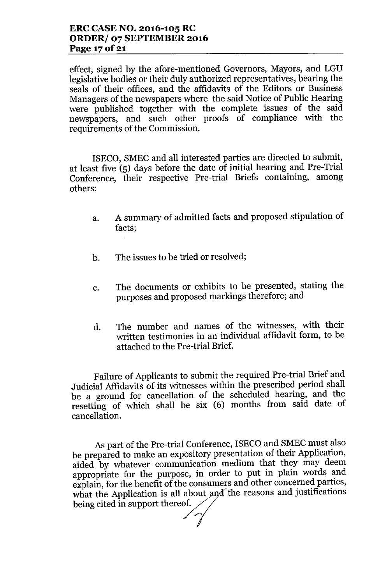effect, signed by the afore-mentioned Governors, Mayors, and LGU legislative bodies or their duly authorized representatives, bearing the seals of their offices, and the affidavits of the Editors or Business Managers of the newspapers where the said Notice of Public Hearing were published together with the complete issues of the said newspapers, and such other proofs of compliance with the requirements of the Commission.

ISECO, SMEC and all interested parties are directed to submit, at least five (5) days before the date of initial hearing and Pre-Trial Conference, their respective Pre-trial Briefs containing, among others:

- a. A summary of admitted facts and proposed stipulation of facts;
- b. The issues to be tried or resolved;
- c. The documents or exhibits to be presented, stating the purposes and proposed markings therefore; and
- d. The number and names of the witnesses, with their written testimonies in an individual affidavit form, to be attached to the Pre-trial Brief.

Failure of Applicants to submit the required Pre-trial Brief and Judicial Affidavits of its witnesses within the prescribed period shall be a ground for cancellation of the scheduled hearing, and the resetting of which shall be six (6) months from said date of cancellation.

As part of the Pre-trial Conference, ISECO and SMEC must also be prepared to make an expository presentation of their Application, aided by whatever communication medium that they may deem appropriate for the purpose, in order to put in plain words and explain, for the benefit of the consumers and other concerned parties, what the Application is all about and the reasons and justifications being cited in support thereof.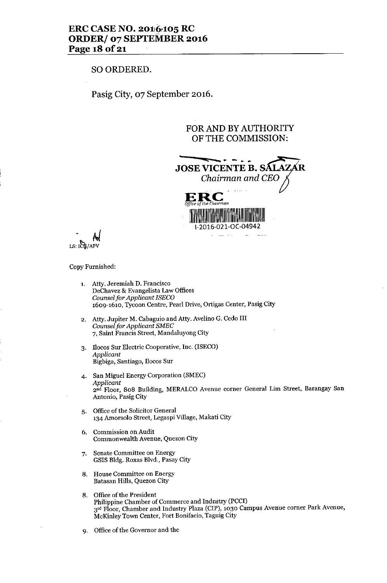## ERC CASE NO. 2016.105 RC ORDER/ 07 SEPTEMBER 2016 Page 18 of 21

### SO ORDERED.

Pasig City, 07 September 2016.

## FOR AND BY AUTHORITY OF THE COMMISSION:



*. M*  $LS:ICG/APV$ 

#### Copy Furnished:

- 1. Atty. Jeremiah D. Francisco DeChavez & Evangelista Law Offices *Counselfor Applicant ISECO* 1609-1610, Tycoon Centre, Pearl Drive, Ortigas Center, Pasig City
- 2. Atty. Jupiter M. Cabaguio and Atty. Avelino G. Cedo III *Counselfor Applicant SMEC* 7, Saint Francis Street, Mandaluyong City
- 3. nocos Sur Electric Cooperative, Inc. (ISECO) *Applicant* Bigbiga, Santiago, Docos Sur
- 4. San Miguel Energy Corporation (SMEC) *Applicant* 2nd Floor, 808 Building, MERALCO Avenue corner General Lim Street, Barangay San Antonio, Pasig City
- 5. Office of the Solicitor General 134 Amorsolo Street, Legaspi Village, Makati City
- 6. Commission on Audit Commonwealth Avenue, Quezon City
- 7. Senate Committee on Energy GSIS Bldg. Roxas Blvd., Pasay City
- 8. House Committee on Energy Batasan Hills, Quezon City
- 8. Office of the President Philippine Chamber of Commerce and Industry (PCCl) 3rd Floor, Chamber and Industry Plaza (CIP), 1030 Campus Avenue corner Park Avenue, McKinley Town Center, Fort Bonifacio, Taguig City
- 9. Office of the Governor and the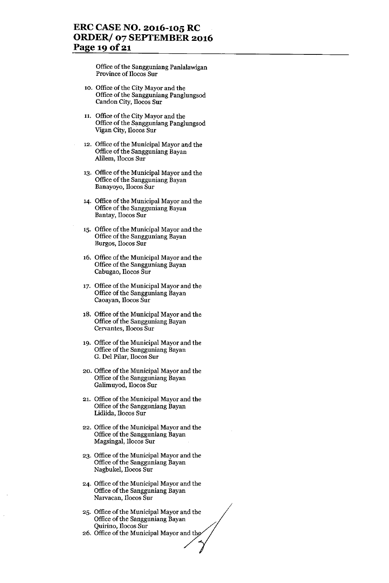## **ERC CASE NO. 2016-105 RC ORDER/ 07 SEPTEMBER 2016 Page 19 Of21**

Office of the Sangguniang Panlalawigan Province of llocos Sur

- 10. Office of the City Mayor and the Office of the Sangguniang Panglungsod Candon City, llocos Sur
- 11. Office of the City Mayor and the Office of the Sangguniang Panglungsod Vigan City, llocos Sur
- 12. Office of the Municipal Mayor and the Office of the Sangguniang Bayan Alilem, Ilocos Sur
- 13. Office of the Municipal Mayor and the Office of the Sangguniang Bayan Banayoyo, llocos Sur
- 14. Office of the Municipal Mayor and the Office of the Sangguniang Bayan Bantay, llocos Sur
- 15. Office of the Municipal Mayor and the Office of the Sangguniang Bayan Burgos, llocos Sur
- 16. Office of the Municipal Mayor and the Office of the Sangguniang Bayan Cabugao, llocos Sur
- 17. Office of the Municipal Mayor and the Office of the Sangguniang Bayan Caoayan, llocos Sur
- 18. Office of the Municipal Mayor and the Office of the Sangguniang Bayan Cervantes, llocos Sur
- 19. Office of the Municipal Mayor and the Office of the Sangguniang Bayan G. Del Pilar, llocos Sur
- 20. Office of the Municipal Mayor and the Office of the Sangguniang Bayan Galimuyod, llocos Sur
- 21. Office of the Municipal Mayor and the Office of the Sangguniang Bayan Lidlida, llocos Sur
- 22. Office of the Municipal Mayor and the Office of the Sangguniang Bayan Magsingal, llocos Sur
- 23. Office of the Municipal Mayor and the Office of the Sangguniang Bayan Nagbukel, Ilocos Sur
- 24. Office of the Municipal Mayor and the Office of the Sangguniang Bayan Narvacan, llocos Sur
- 25. Office of the Municipal Mayor and the Office of the Sangguniang Bayan Quirino, Ilocos Sur
- 26. Office of the Municipal Mayor and the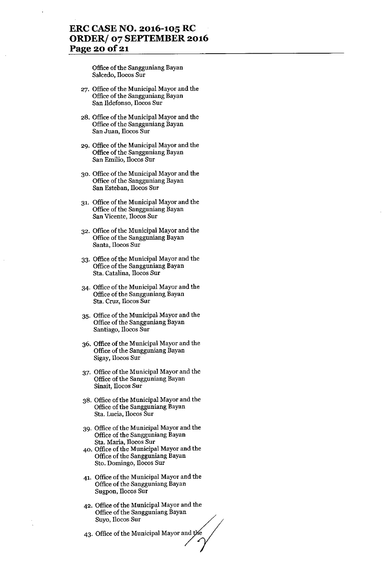## **ERC CASE NO. 2016-105 RC ORDER/ 07 SEPfEMBER 2016 Page 20** of 21

Office of the Sangguniang Bayan Salcedo, Ilocos Sur

- 27. Office of the Municipal Mayor and the Office of the Sangguniang Bayan San Ildefonso, Ilocos Sur
- 28. Office of the Municipal Mayor and the Office of the Sangguniang Bayan San Juan, Ilocos Sur
- 29. Office of the Municipal Mayor and the Office of the Sangguniang Bayan San Emilio, Ilocos Sur
- 30. Office of the Municipal Mayor and the Office of the Sangguniang Bayan San Esteban, Ilocos Sur
- 31. Office of the Municipal Mayor and the Office of the Sangguniang Bayan San Vicente, Ilocos Sur
- 32. Office of the Municipal Mayor and the Office of the Sangguniang Bayan Santa, Ilocos Sur
- 33. Office of the Municipal Mayor and the Office of the Sangguniang Bayan Sta. Catalina, Ilocos Sur
- 34. Office of the Municipal Mayor and the Office of the Sangguniang Bayan Sta. Cruz, Ilocos Sur
- 35. Office of the Municipal Mayor and the Office of the Sangguniang Bayan Santiago, Ilocos Sur
- 36. Office of the Municipal Mayor and the Office of the Sangguniang Bayan Sigay, Ilocos Sur
- 37. Office of the Municipal Mayor and the Office of the Sangguniang Bayan Sinait, Ilocos Sur
- 38. Office of the Municipal Mayor and the Office of the Sangguniang Bayan Sta. Lucia, Ilocos Sur
- 39. Office of the Municipal Mayor and the Office of the Sangguniang Bayan Sta. Maria, Ilocos Sur
- 40. Office of the Municipal Mayor and the Office of the Sangguniang Bayan Sto. Domingo, Ilocos Sur
- 41. Office of the Municipal Mayor and the Office of the Sangguniang Bayan Sugpon, Ilocos Sur
- 42. Office of the Municipal Mayor and the Office of the Sangguniang Bayan Suyo, Ilocos Sur
- 43. Office of the Municipal Mayor and the